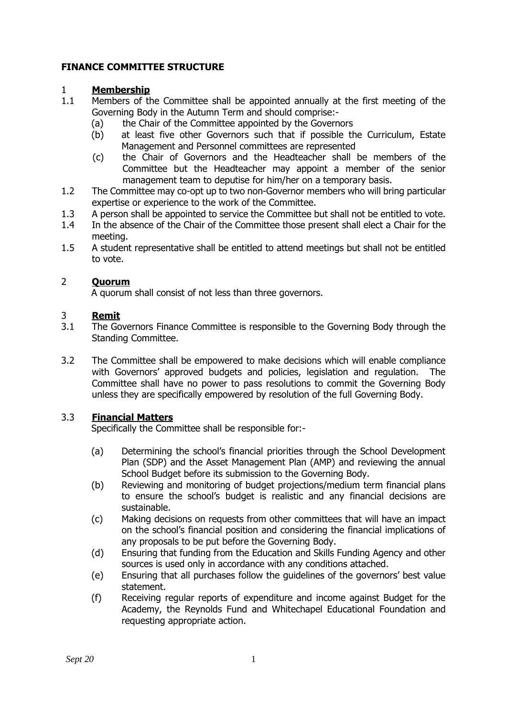# **FINANCE COMMITTEE STRUCTURE**

## 1 **Membership**

- 1.1 Members of the Committee shall be appointed annually at the first meeting of the Governing Body in the Autumn Term and should comprise:-
	- (a) the Chair of the Committee appointed by the Governors
	- (b) at least five other Governors such that if possible the Curriculum, Estate Management and Personnel committees are represented
	- (c) the Chair of Governors and the Headteacher shall be members of the Committee but the Headteacher may appoint a member of the senior management team to deputise for him/her on a temporary basis.
- 1.2 The Committee may co-opt up to two non-Governor members who will bring particular expertise or experience to the work of the Committee.
- 1.3 A person shall be appointed to service the Committee but shall not be entitled to vote.
- 1.4 In the absence of the Chair of the Committee those present shall elect a Chair for the meeting.
- 1.5 A student representative shall be entitled to attend meetings but shall not be entitled to vote.

## 2 **Quorum**

A quorum shall consist of not less than three governors.

### 3 **Remit**

- 3.1 The Governors Finance Committee is responsible to the Governing Body through the Standing Committee.
- 3.2 The Committee shall be empowered to make decisions which will enable compliance with Governors' approved budgets and policies, legislation and regulation. The Committee shall have no power to pass resolutions to commit the Governing Body unless they are specifically empowered by resolution of the full Governing Body.

## 3.3 **Financial Matters**

Specifically the Committee shall be responsible for:-

- (a) Determining the school's financial priorities through the School Development Plan (SDP) and the Asset Management Plan (AMP) and reviewing the annual School Budget before its submission to the Governing Body.
- (b) Reviewing and monitoring of budget projections/medium term financial plans to ensure the school's budget is realistic and any financial decisions are sustainable.
- (c) Making decisions on requests from other committees that will have an impact on the school's financial position and considering the financial implications of any proposals to be put before the Governing Body.
- (d) Ensuring that funding from the Education and Skills Funding Agency and other sources is used only in accordance with any conditions attached.
- (e) Ensuring that all purchases follow the guidelines of the governors' best value statement.
- (f) Receiving regular reports of expenditure and income against Budget for the Academy, the Reynolds Fund and Whitechapel Educational Foundation and requesting appropriate action.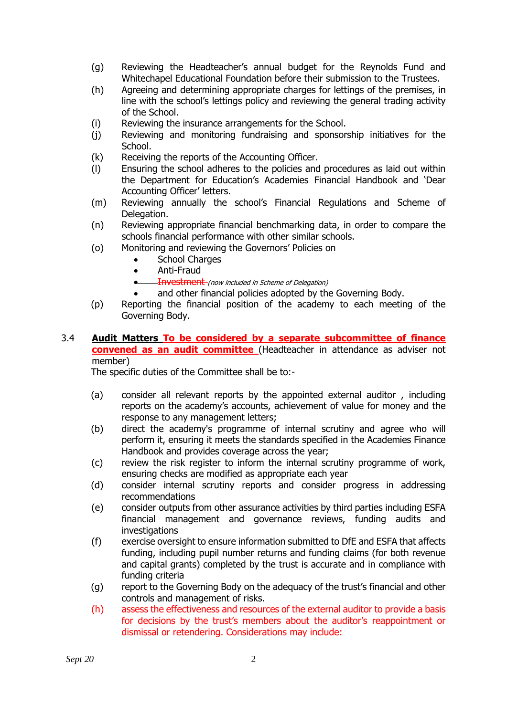- (g) Reviewing the Headteacher's annual budget for the Reynolds Fund and Whitechapel Educational Foundation before their submission to the Trustees.
- (h) Agreeing and determining appropriate charges for lettings of the premises, in line with the school's lettings policy and reviewing the general trading activity of the School.
- (i) Reviewing the insurance arrangements for the School.
- (j) Reviewing and monitoring fundraising and sponsorship initiatives for the School.
- (k) Receiving the reports of the Accounting Officer.
- (l) Ensuring the school adheres to the policies and procedures as laid out within the Department for Education's Academies Financial Handbook and 'Dear Accounting Officer' letters.
- (m) Reviewing annually the school's Financial Regulations and Scheme of Delegation.
- (n) Reviewing appropriate financial benchmarking data, in order to compare the schools financial performance with other similar schools.
- (o) Monitoring and reviewing the Governors' Policies on
	- School Charges
	- Anti-Fraud
	- **•** Investment (now included in Scheme of Delegation)
	- and other financial policies adopted by the Governing Body.
- (p) Reporting the financial position of the academy to each meeting of the Governing Body.
- 3.4 **Audit Matters To be considered by a separate subcommittee of finance convened as an audit committee** (Headteacher in attendance as adviser not member)

The specific duties of the Committee shall be to:-

- (a) consider all relevant reports by the appointed external auditor , including reports on the academy's accounts, achievement of value for money and the response to any management letters;
- (b) direct the academy's programme of internal scrutiny and agree who will perform it, ensuring it meets the standards specified in the Academies Finance Handbook and provides coverage across the year;
- (c) review the risk register to inform the internal scrutiny programme of work, ensuring checks are modified as appropriate each year
- (d) consider internal scrutiny reports and consider progress in addressing recommendations
- (e) consider outputs from other assurance activities by third parties including ESFA financial management and governance reviews, funding audits and investigations
- (f) exercise oversight to ensure information submitted to DfE and ESFA that affects funding, including pupil number returns and funding claims (for both revenue and capital grants) completed by the trust is accurate and in compliance with funding criteria
- (g) report to the Governing Body on the adequacy of the trust's financial and other controls and management of risks.
- (h) assess the effectiveness and resources of the external auditor to provide a basis for decisions by the trust's members about the auditor's reappointment or dismissal or retendering. Considerations may include: